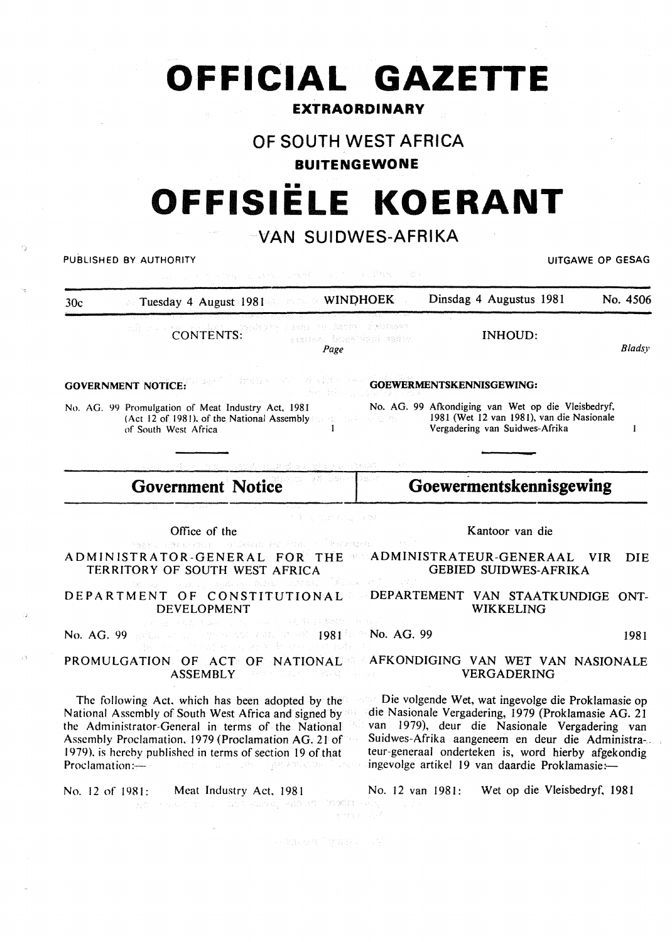# **OFFICIAL GAZETTE**

### **EXTRAORDINARY**

## **OF SOUTH WEST AFRICA**

### **BUITENGEWONE**

# •• **OFFISIELE KOERANT**

## **VAN SUIDWES-AFRIKA**

| PUBLISHED BY AUTHORITY<br>The country sent of control of |                                                                                                                                                                                                                                                                                                                                                                 |                                       | UITGAWE OP GESAG                                                                                                                                                                                                                                                                                                         |            |  |
|----------------------------------------------------------|-----------------------------------------------------------------------------------------------------------------------------------------------------------------------------------------------------------------------------------------------------------------------------------------------------------------------------------------------------------------|---------------------------------------|--------------------------------------------------------------------------------------------------------------------------------------------------------------------------------------------------------------------------------------------------------------------------------------------------------------------------|------------|--|
| 30c                                                      | Tuesday 4 August 1981 Common WINDHOEK                                                                                                                                                                                                                                                                                                                           |                                       | Dinsdag 4 Augustus 1981                                                                                                                                                                                                                                                                                                  | No. 4506   |  |
|                                                          | FIRED TO BETTE FINDING<br>CONTENTS:<br>atsiko (franjeni tatih<br>Page                                                                                                                                                                                                                                                                                           |                                       | <b>INHOUD:</b>                                                                                                                                                                                                                                                                                                           | Bladsy     |  |
|                                                          | administration of Nichols<br><b>GOVERNMENT NOTICE:</b><br>$\mathcal{L}^{\text{max}}(\mathcal{C})$ . As $\mathcal{C}^{\text{max}}$                                                                                                                                                                                                                               |                                       | GOEWERMENTSKENNISGEWING:                                                                                                                                                                                                                                                                                                 |            |  |
|                                                          | No. AG. 99 Promulgation of Meat Industry Act, 1981<br>(Act 12 of 1981), of the National Assembly $\mathbb{R}_{>0}$ and $\mathbb{R}_{>0}$ and $\mathbb{R}_{>0}$<br>of South West Africa                                                                                                                                                                          |                                       | No. AG. 99 Afkondiging van Wet op die Vleisbedryf,<br>1981 (Wet 12 van 1981), van die Nasionale<br>Vergadering van Suidwes-Afrika                                                                                                                                                                                        | -1         |  |
|                                                          |                                                                                                                                                                                                                                                                                                                                                                 |                                       |                                                                                                                                                                                                                                                                                                                          |            |  |
|                                                          | tal või böte<br><b>Government Notice</b>                                                                                                                                                                                                                                                                                                                        |                                       | Goewermentskennisgewing                                                                                                                                                                                                                                                                                                  |            |  |
|                                                          | ききし うげ ちしつが<br>Office of the<br>TERU ADVERSE OF SEARCH AND OPPORTUNE<br>ADMINISTRATOR-GENERAL FOR THE SCADMINISTRATEUR-GENERAAL                                                                                                                                                                                                                                 |                                       | Kantoor van die<br><b>VIR</b>                                                                                                                                                                                                                                                                                            | <b>DIE</b> |  |
|                                                          | TERRITORY OF SOUTH WEST AFRICA<br>やっとえ しょうかい にっぽいこう ひけん                                                                                                                                                                                                                                                                                                         |                                       | <b>GEBIED SUIDWES-AFRIKA</b>                                                                                                                                                                                                                                                                                             |            |  |
|                                                          | DEPARTMENT OF CONSTITUTIONAL DEPARTEMENT VAN STAATKUNDIGE ONT-<br>DEVELOPMENT                                                                                                                                                                                                                                                                                   |                                       | WIKKELING                                                                                                                                                                                                                                                                                                                |            |  |
|                                                          | (本) East Terry (A) Said (人事) ( Spath ( B) And<br>No. AG. 99 Bellin at the legislature and in the 1981 between AG. 99<br>sa go the when a consent the exact end politic                                                                                                                                                                                          |                                       |                                                                                                                                                                                                                                                                                                                          | 1981       |  |
|                                                          | PROMULGATION OF ACT OF NATIONAL AFKONDIGING VAN WET VAN NASIONALE<br><b>ASSEMBLY</b><br>するめん はつしゃ しょうなはた ひらくは アーバー・バー                                                                                                                                                                                                                                           |                                       | <b>VERGADERING</b>                                                                                                                                                                                                                                                                                                       |            |  |
|                                                          | The following Act, which has been adopted by the<br>National Assembly of South West Africa and signed by<br>the Administrator-General in terms of the National<br>Assembly Proclamation, 1979 (Proclamation AG. 21 of<br>1979), is hereby published in terms of section 19 of that<br>Proclamation:-<br>i sa mangi sa sang diteluk ng pagkapakatiga sa Superson |                                       | Die volgende Wet, wat ingevolge die Proklamasie op<br>die Nasionale Vergadering, 1979 (Proklamasie AG. 21<br>van 1979), deur die Nasionale Vergadering van<br>Suidwes-Afrika aangeneem en deur die Administra-.<br>teur-generaal onderteken is, word hierby afgekondig<br>ingevolge artikel 19 van daardie Proklamasie:- |            |  |
|                                                          | Meat Industry Act, 1981<br>No. 12 of 1981:<br>AC PEACH IS THROUGH ANNUAL MARKET SERVICE                                                                                                                                                                                                                                                                         | No. 12 van 1981:<br>A. T.<br>医神经生 计功率 | Wet op die Vleisbedryf, 1981                                                                                                                                                                                                                                                                                             |            |  |
|                                                          |                                                                                                                                                                                                                                                                                                                                                                 |                                       |                                                                                                                                                                                                                                                                                                                          |            |  |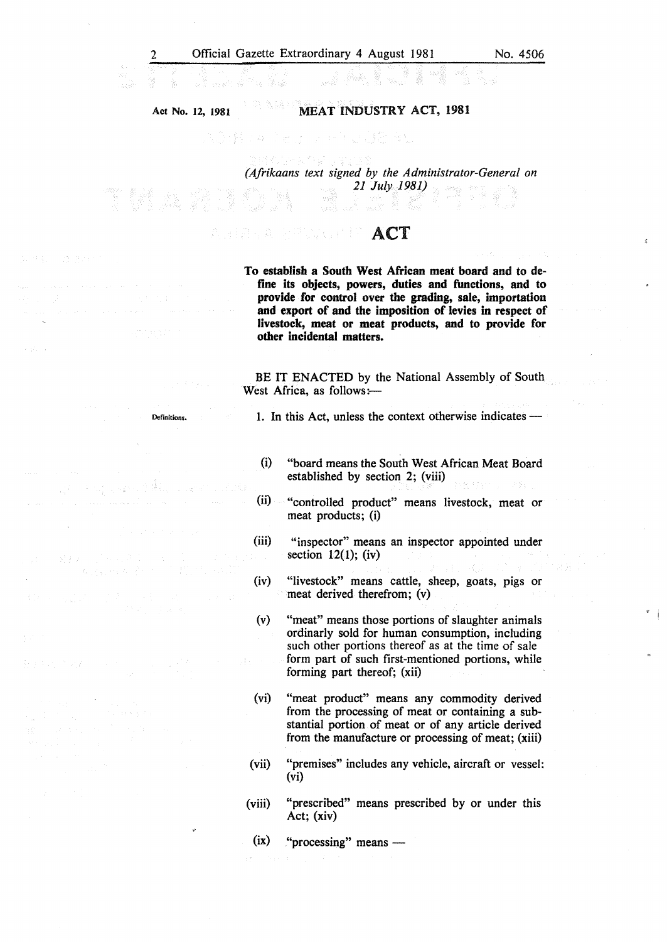2 Official Gazette Extraordinary 4 August 1981 No. 4506

Act No. 12, 1981 MEAT INDUSTRY ACT, 1981

> *(Afrikaans text signed by the Administrator-General on 21 July 1981)*

ACT Dengan P

Definitions.

To establish a South West African meat board and to define its objects, powers, duties and functions, and to provide for control over the grading, sale, importation and export of and the imposition of levies in respect of livestock, meat or meat products, and to provide for other incidental matters.

BE IT ENACTED by the National Assembly of South West Africa, as follows:-

1. In this Act, unless the context otherwise indicates --

(i) "board means the South West African Meat Board established by section 2; (viii)

(ii) "controlled product" means livestock, meat or meat products; (i)

(iii) "inspector" means an inspector appointed under section  $12(1)$ ; (iv)

(iv) "livestock" means cattle, sheep, goats, pigs or meat derived therefrom; (v)

(v) "meat'' means those portions of slaughter animals ordinarly sold for human consumption, including such other portions thereof as at the time of sale form part of such first-mentioned portions, while forming part thereof; (xii)

(vi) "meat product" means any commodity derived from the processing of meat or containing a substantial portion of meat or of any article derived from the manufacture or processing of meat; (xiii)

(vii) "premises" includes any vehicle, aircraft or vessel: (vi)

(viii) "prescribed" means prescribed by or under this Act; (xiv)

 $(ix)$  "processing" means —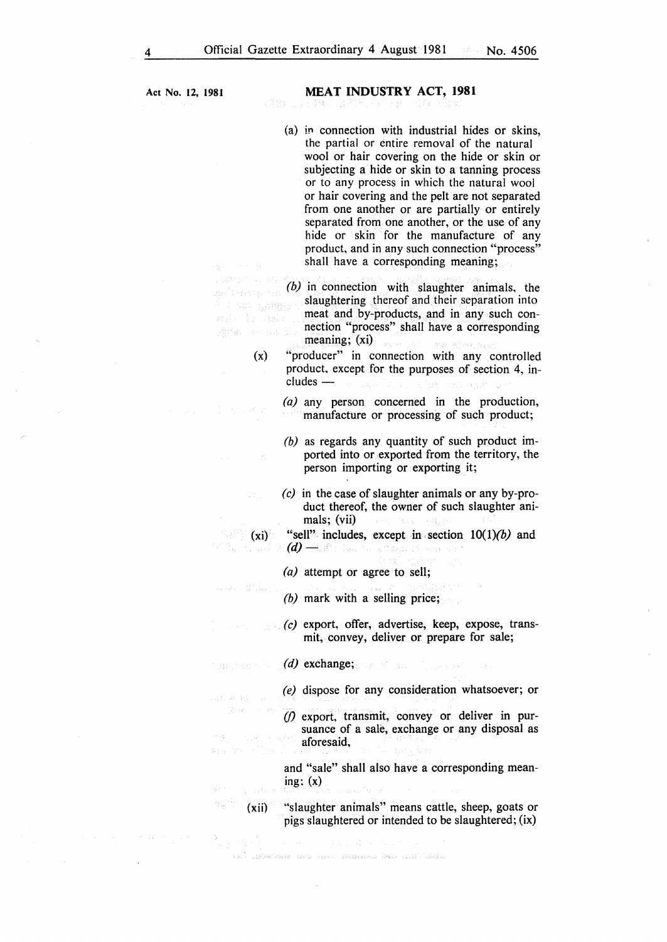- $(a)$  in connection with industrial hides or skins, the partial or entire removal of the natural wool or hair covering on the hide or skin or subjecting a hide or skin to a tanning process or to any process in which the natural wool or hair covering and the pelt are not separated from one another or are partially or entirely separated from one another, or the use of any hide or skin for the manufacture of any product, and in any such connection "process" shall have a corresponding meaning;
- *(b)* in connection with slaughter animals, the slaughtering thereof and their separation into us ad<mark>e</mark> meat and by-products, and in any such connection "process" shall have a corresponding **SSPEAR PROPERTY** meaning; (xi)
	- (x) "producer" in connection with any controlled product. except for the purposes of section 4, in $cludes$  —
		- *(a)* any person concerned in the production, manufacture or processing of such product;
		- *(b)* as regards any quantity of such product imported into or exported from the territory, the person importing or exporting it;
		- *(c)* in the case of slaughter animals or any by-product thereof, the owner of such slaughter animals; (vii) ta Lu
	- $(x_i)$  "sell" includes, except in section  $10(1)(b)$  and  $\left(d\right)$   $\rightarrow$  Me last to a display the second t
		- (a) attempt or agree to sell;
		- *(b)* mark with a selling price;
		- *(c)* export, offer, advertise, keep, expose, transmit, convey, deliver or prepare for sale;
- *(d)* exchange; and an Ch

Sales (1970)

- *(e)* dispose for any consideration whatsoever; or
- *(/)* export, transmit, convey or deliver in pursuance of a sale, exchange or any disposal as aforesaid,

and "sale" shall also have a corresponding meaning:  $(x)$ 

(xii) "slaughter animals" means cattle, sheep, goats or pigs slaughtered or intended to be slaughtered; (ix}

1999 - La Carrie Contae a compositor de la construcción de la constanta de la constanta de la constanta de la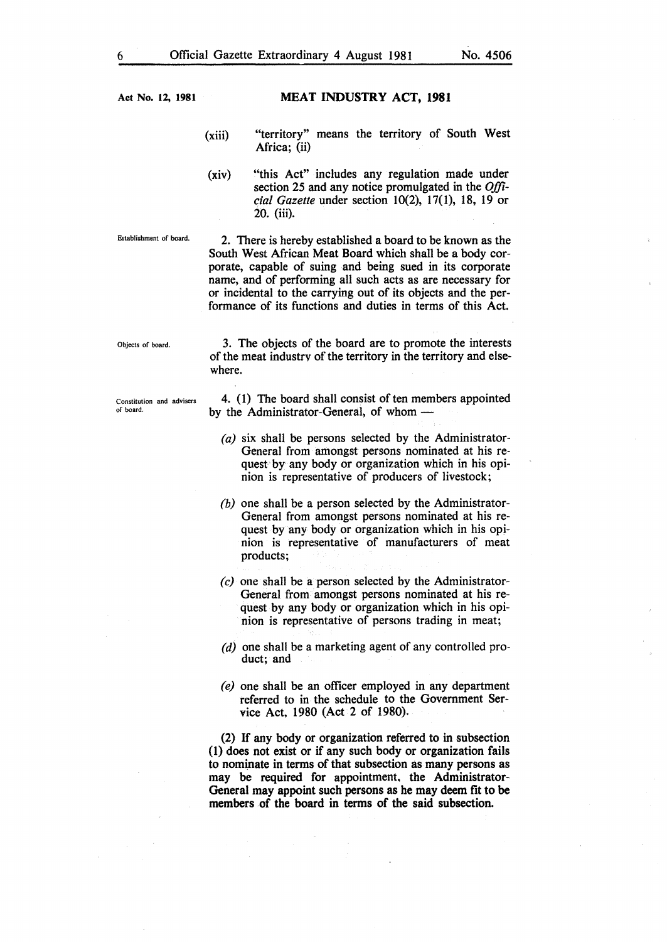#### MEAT INDUSTRY ACT, 1981

- (xiii) "territory" means the territory of South West Africa; (ii)
- (xiv) "this Act" includes any regulation made under section 25 and any notice promulgated in the *Official Gazette under section 10(2), 17(1), 18, 19 or* 20. (iii).

Establishment of board.

2. There is hereby established a board to be known as the South West African Meat Board which shall be a body corporate, capable of suing and being sued in its corporate name, and of performing all such acts as are necessary for or incidental to the carrying out of its objects and the performance of its functions and duties in terms of this Act.

Objects of board.

3. The objects of the board are to promote the interests of the meat industry of the territory in the territory and elsewhere.

Constitution and advisers of board.

4. (1) The board shall consist of ten members appointed by the Administrator-General, of whom -

- *(a)* six shall be persons selected by the Administrator-General from amongst persons nominated at his request by any body or organization which in his opinion is representative of producers of livestock;
- *(b)* one shall be a person selected by the Administrator-General from amongst persons nominated at his request by any body or organization which in his opinion is representative of manufacturers of meat products;
- *(c)* one shall be a person selected by the Administrator-General from amongst persons nominated at his request by any body or organization which in his opinion is representative of persons trading in meat;
- *(d)* one shall be a marketing agent of any controlled product; and
- *(e)* one shall be an officer employed in any department referred to in the schedule to the Government Service Act, 1980 (Act 2 of 1980).

(2) If any body or organization referred to in subsection (1) does not exist or if any such body or organization fails to nominate in terms of that subsection as many persons as may be required for appointment, the Administrator-General may appoint such persons as he may deem fit to be members of the board in terms of the said subsection.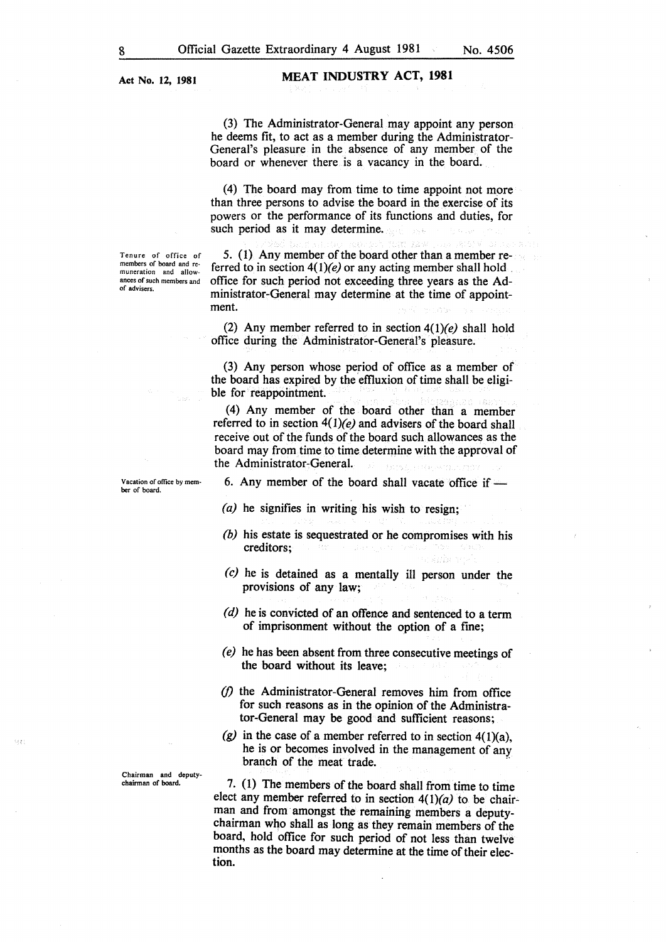Tenure of office of members of board and remuneration and allowances of such members and

of advisers.

MEAT INDUSTRY ACT, 1981

(3) The Administrator-General may appoint any person he deems fit, to act as a member during the Administrator-General's pleasure in the absence of any member of the board or whenever there is a vacancy in the board.

(4) The board may from time to time appoint not more than three persons to advise the board in the exercise of its powers or the performance of its functions and duties, for such period as it may determine.

5. (1) Any member of the board other than a member referred to in section *4(1)(e)* or any acting member shall hold . office for such period not exceeding three years as the Administrator-General may determine at the time of appointment.

(2) Any member referred to in section *4(1)(e)* shall hold office during the Administrator-General's pleasure.

(3) Any person whose period of office as a member of the board has expired by the effiuxion of time shall be eligible for reappointment.

(4) Any member of the board other than a member referred to in section *4(I)(e)* and advisers of the board shall receive out of the funds of the board such allowances as the board may from time to time determine with the approval of the Administrator-General.

ber of board.

ig)

Vacation of office by mem- 6. Any member of the board shall vacate office if -

- *(a)* he signifies in writing his wish to resign;
- *(b)* his estate is sequestrated or he compromises with his creditors;
- *(c)* he is detained as a mentally ill person under the provisions of any law;
- *(d)* he is convicted of an offence and sentenced to a term of imprisonment without the option of a fine;
- *(e)* he has been absent from three consecutive meetings of the board without its leave;
- *(/)* the Administrator-General removes him from office for such reasons as in the opinion of the Administrator-General may be good and sufficient reasons;
- $(g)$  in the case of a member referred to in section  $4(1)(a)$ , he is or becomes involved in the management of any branch of the meat trade.<br> **Chairman** and deputy-<br>
chairman of board.<br> **7** (1) The members of the bo

7. (1) The members of the board shall from time to time elect any member referred to in section *4(l)(a)* to be chairman and from· amongst the remaining members a deputychairman who shall as long as they remain members of the board, hold office for such period of not less than twelve months as the board may determine at the time of their election.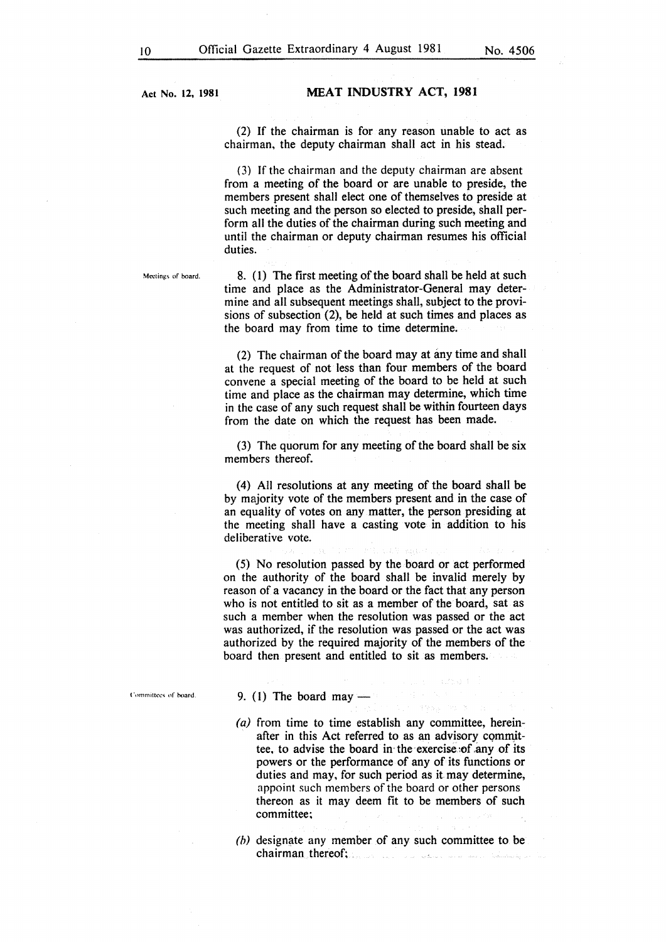#### MEAT INDUSTRY ACT, 1981

(2) If the chairman is for any reason unable to act as chairman, the deputy chairman shall act in his stead.

(3) If the chairman and the deputy chairman are absent from a meeting of the board or are unable to preside, the members present shall elect one of themselves to preside at such meeting and the person so elected to preside, shall perform all the duties of the chairman during such meeting and until the chairman or deputy chairman resumes his official duties.

Meetings of board.

8. (1) The first meeting of the board shall be held at such time and place as the Administrator-General may determine and all subsequent meetings shall, subject to the provisions of subsection (2), be held at such times and places as the board may from time to time determine.

(2) The chairman of the board may at any time and shall at the request of not less than four members of the board convene a special meeting of the board to be held at such time and place as the chairman may determine, which time in the case of any such request shall be within fourteen days from the date on which the request has been made.

(3) The quorum for any meeting of the board shall be six members thereof.

(4) All resolutions at any meeting of the board shall be by majority vote of the members present and in the case of an equality of votes on any matter, the person presiding at the meeting shall have a casting vote in addition to his deliberative vote.

(5) No resolution passed by the board or act performed on the authority of the board shall be invalid merely by reason of a vacancy in the board or the fact that any person who is not entitled to sit as a member of the board, sat as such a member when the resolution was passed or the act was authorized, if the resolution was passed or the act was authorized by the required majority of the members of the board then present and entitled to sit as members.

Committees of board

#### 9. (1) The board may  $-$

- (a) from time to time establish any committee, hereinafter in this Act referred to as an advisory committee, to advise the board in the exercise of any of its powers or the performance of any of its functions or duties and may, for such period as it may determine, appoint such members of the board or other persons thereon as it may deem fit to be members of such committee;
- *(h)* designate any member of any such committee to be chairman thereof; suk oo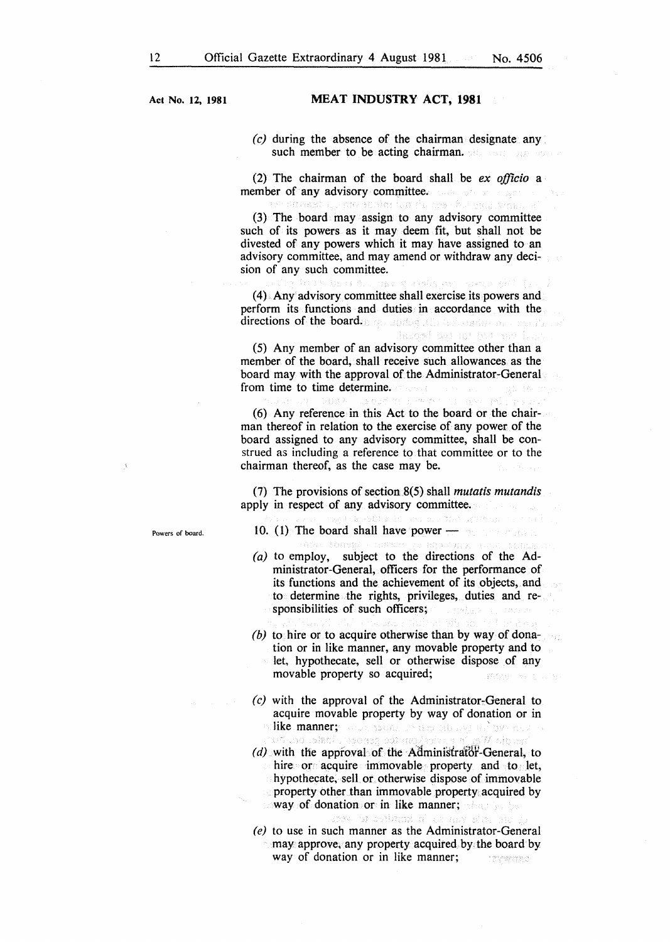#### MEAT INDUSTRY ACT, 1981

*(c)* during the absence of the chairman designate any such member to be acting chairman.

(2) The chairman of the board shall be *ex officio* a member of any advisory committee. tassi quam scolm tan fo ars dal yna wm

(3) The board may assign to any advisory committee such of its powers as it may deem fit, but shall not be divested of any powers which it may have assigned to an advisory committee, and may amend or withdraw any decision of any such committee.

(4) Any· advisory committee shall exercise its powers and perform its functions and duties in accordance with the directions of the board. Both and the state state of the state

hus thi isi isi hacak

(5) Any member of an advisory committee other than a member of the board, shall receive such allowances as the board may with the approval of the Administrator-General from time to time determine.

( 6) Any reference in this Act to the board or the chairman thereof in relation to the exercise of any power of the board assigned to any advisory committee, shall be construed as including a reference to that committee or to the chairman thereof, as the case may be.

(7) The provisions of section 8(5) shall *mutatis mutandis*  apply in respect of any advisory committee.

Powers of board.

10. (1) The board shall have power $-$ 

- (a) to employ, subject to the directions of the Administrator-General, officers for the performance of its functions and the achievement of its objects, and to determine the rights, privileges, duties and responsibilities of such officers;
- *(b)* to hire or to acquire otherwise than by way of donation or in like manner, any movable property and to let, hypothecate, sell or otherwise dispose of any movable property so acquired;  $\{Y^{p_1,p_2},\cdots\}$
- *(c)* with the approval of the Administrator-General to acquire movable property by way of donation or in like manner; ween salah in ans all separations have a W słow h so biani losensa satemelanive a a
- $(d)$  with the approval of the Administrator-General, to hire or acquire immovable property and to let, hypothecate, sell or otherwise dispose of immovable property other than immovable property acquired by way of donation or in like manner; the same
- (e) to use in such manner as the Administrator-General may approve, any property acquired by the board by way of donation or in like manner; **MARTING**

a kostido te veda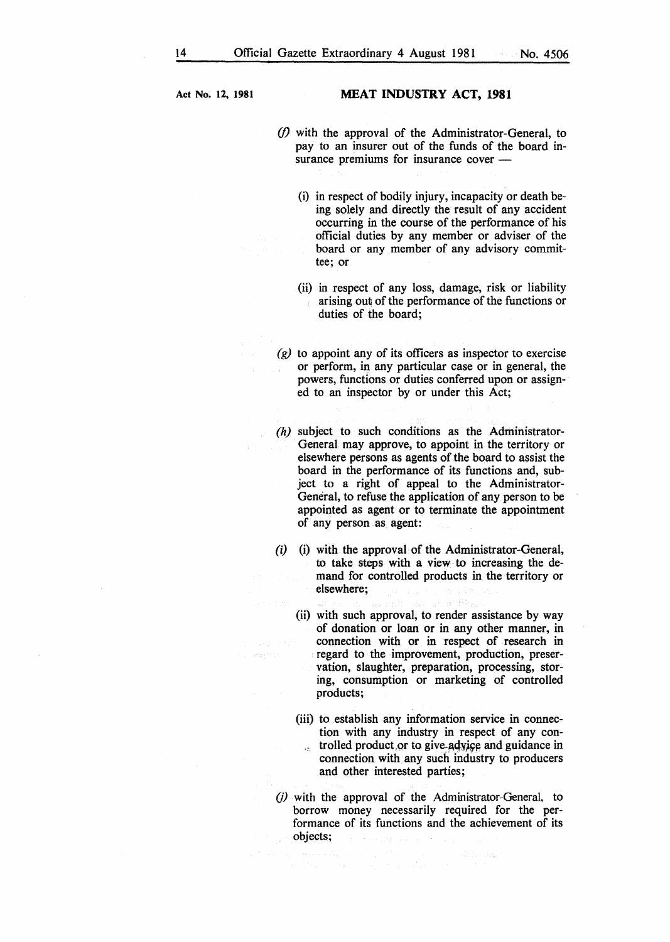Lange mit die

#### Act No. 12, 1981 MEAT INDUSTRY ACT, 1981

- *(/)* with the approval of the Administrator-General, to pay to an insurer out of the funds of the board insurance premiums for insurance cover -
	- (i) in respect of bodily injury, incapacity or death being solely and directly the result of any accident occurring in the course of the performance of his official duties by any member or adviser of the board or any member of any advisory committee; or
	- (ii) in respect of any loss, damage, risk or liability arising out of the performance of the functions or duties of the board;
- *(g)* to appoint any of its officers as inspector to exercise or perform, in any particular case or in general, the powers, functions or duties conferred upon or assigned to an inspector by or under this Act;
- *(h)* subject to such conditions as the Administrator-General may approve, to appoint in the territory or elsewhere persons as agents of the board to assist the board in the performance of its functions and, subject to a right of appeal to the Administrator-General, to refuse the application of any person to be appointed as agent or to terminate the appointment of any person as agent:
- (i) (i) with the approval of the Administrator-General, to take steps with a view to increasing the demand for controlled products in the territory or elsewhere;
- (ii) with such approval, to render assistance by way of donation or loan or in any other manner, in connection with or in respect of research in SW FRA regard to the improvement, production, preservation, slaughter, preparation, processing, storing, consumption or marketing of controlled products;
	- (iii) to establish any information service in connection with any industry in respect of any controlled product or to give advice and guidance in  $\mathbf{r}^{\star}$ connection with any such industry to producers and other interested parties;
	- $(j)$  with the approval of the Administrator-General, to borrow money necessarily required for the performance of its functions and the achievement of its objects;

a (<mark>protokolo</mark> kaj la kaj la protokolo kaj la protokolo).<br>La kaj la kaj la kaj la kaj la kaj la kaj la kaj la kaj la kaj la kaj la kaj la kaj la kaj la kaj la kaj la ka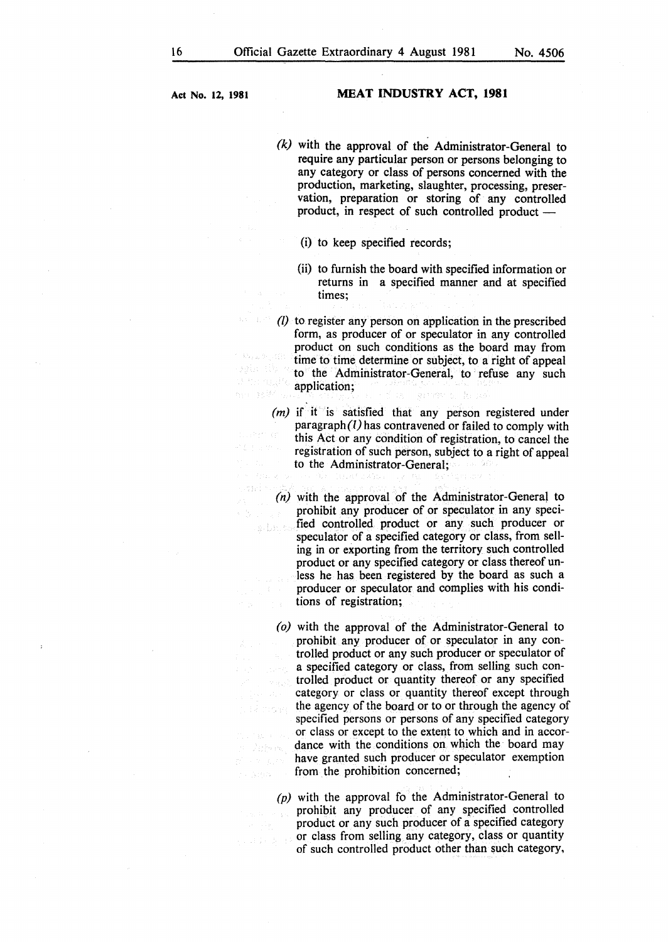land s

-5

 $1 + 3$  Space

 $\mathcal{O}(\mathbb{R}^2)$  .

#### **Act** No. **12, 1981 MEAT INDUSTRY ACT, 1981**

- *(k)* with the approval of the Administrator-General to require any particular person or persons belonging to any category or class of persons concerned with the production, marketing, slaughter, processing, preservation, preparation or storing of any controlled product, in respect of such controlled product -
	- (i) to keep specified records;
	- (ii) to furnish the board with specified information or returns in a specified manner and at specified times;

(I) to register any person on application in the prescribed form, as producer of or speculator in any controlled product on such conditions as the board may from 3.5 L. B. 1373 time to time determine or subject, to a right of appeal to the Administrator-General, to refuse any such a monggil application; no selki Special Graphy

*(m)* if it is satisfied that any person registered under paragraph $(l)$  has contravened or failed to comply with this Act or any condition of registration, to cancel the registration of such person, subject to a right of appeal to the Administrator-General;  $\langle \hat{r}_1 \rangle_{\rm DM, \, M}$ 

*(n)* with the approval of the Administrator-General to prohibit any producer of or speculator in any specified controlled product or any such producer or speculator of a specified category or class, from selling in or exporting from the territory such controlled product or any specified category or class thereof unless he has been registered by the board as such a producer or speculator and complies with his conditions of registration;

*(o)* with the approval of the Administrator-General to prohibit any producer of or speculator in any controlled product or any such producer or speculator of a specified category or class, from selling such controlled product or quantity thereof or any specified category or class or quantity thereof except through the agency of the board or to or through the agency of u si more specified persons or persons of any specified category or class or except to the extent to which and in accordance with the conditions on which the board may have granted such producer or speculator exemption from the prohibition concerned;

 $(p)$  with the approval fo the Administrator-General to prohibit any producer of any specified controlled product or any such producer of a specified category or class from selling any category, class or quantity 2.447 英里 of such controlled product other than such category,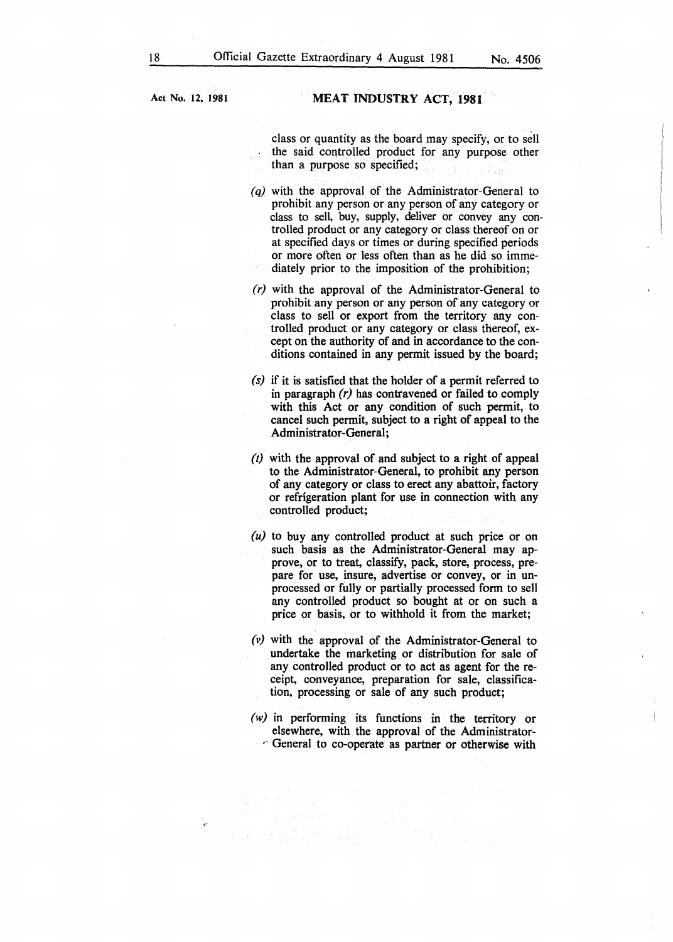class or quantity as the board may specify, or to sell the said controlled product for any purpose other than a purpose so specified;

- $(q)$  with the approval of the Administrator-General to prohibit any person or any person of any category or class to sell, buy, supply, deliver or convey any controlled product or any category or class thereof on or at specified days or times or during specified periods or more often or less often than as he did so immediately prior to the imposition of the prohibition;
- $(r)$  with the approval of the Administrator-General to prohibit any person or any person of any category or class to sell or export from the territory any controlled product or any category or class thereof, except on the authority of and in accordance to the conditions contained in any permit issued by the board;
- *(s)* if it is satisfied that the holder of a permit referred to in paragraph  $(r)$  has contravened or failed to comply with this Act or any condition of such permit, to cancel such permit, subject to a right of appeal to the Administrator-General;
- *(t)* with the approval of and subject to a right of appeal to the Administrator-General, to prohibit any person of any category or class to erect any abattoir, factory or refrigeration plant for use in connection with any controlled product;
- *(u)* to buy any controlled product at such price or on such basis as the Administrator-General may approve, or to treat, classify, pack, store, process, prepare for use, insure, advertise or convey, or in unprocessed or fully or partially processed form to sell any controlled product so bought at or on such a price or basis, or to withhold it from the market;
- *(v)* with the approval of the Administrator-General to undertake the marketing or distribution for sale of any controlled product or to act as agent for the receipt, conveyance, preparation for sale, classification, processing or sale of any such product;
- *(w)* in performing its functions in the territory or elsewhere, with the approval of the Administrator-  $\circ$  General to co-operate as partner or otherwise with

er<br>1976 - Carl Barbara, president<br>1976 - Papine Correlation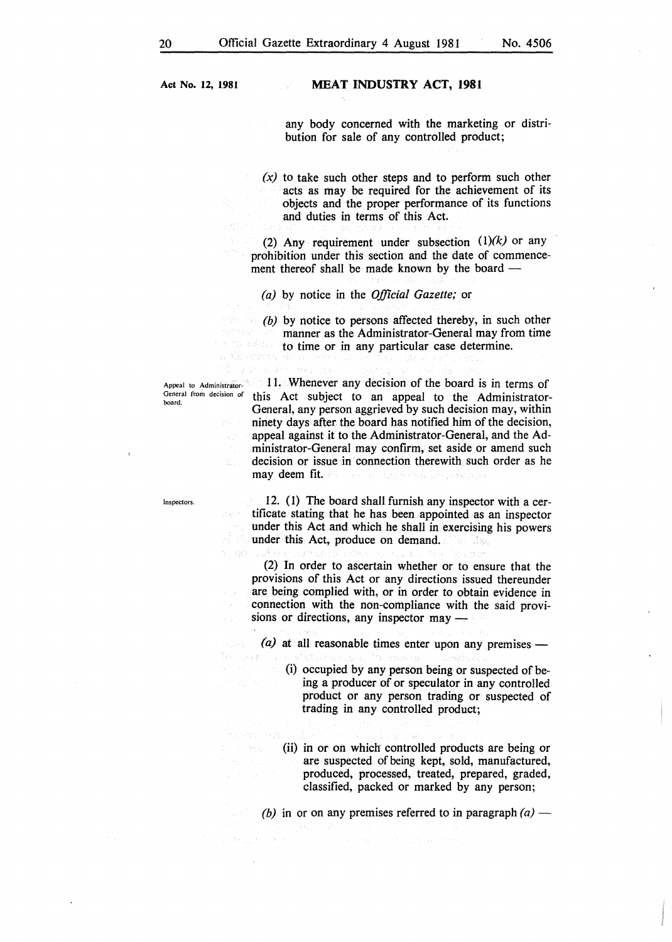#### MEAT INDUSTRY ACT, 1981

any body concerned with the marketing or distribution for sale of any controlled product;

*(x)* to take such other steps and to perform such other acts as may be required for the achievement of its objects and the proper performance of its functions and duties in terms of this Act.

(2) Any requirement under subsection *(l)(k)* or any prohibition under this section and the date of commencement thereof shall be made known by the board  $-$ 

*(a)* by notice in the *Official Gazette;* or

*(b)* by notice to persons affected thereby, in such other manner as the Administrator-General may from time to time or in any particular case determine.

board.

 $\sim 10^{11}$ 

Appeal to Administrator- 11. Whenever any decision of the board is in terms of General from decision of this Act subject to an appeal to the Administrator-General, any person aggrieved by such decision may, within ninety days after the board has notified him of the decision, appeal against it to the Administrator-General, and the Administrator-General may confirm, set aside or amend such decision or issue in connection therewith such order as he may deem fit. Service Research and Provincial

Inspectors.

12. (1) The board shall furnish any inspector with a certificate stating that he has been appointed as an inspector under this Act and which he shall in exercising his powers under this Act, produce on demand.

(2) In order to ascertain whether or to ensure that the provisions of this Act or any directions issued thereunder are being complied with, or in order to obtain evidence in connection with the non-compliance with the said provisions or directions, any inspector  $\text{may}$ 

 $(a)$  at all reasonable times enter upon any premises —

- (i) occupied by any person being or suspected of being a producer of or speculator in any controlled product or any person trading or suspected of trading in any controlled product;
- (ii) in or on whiclr controlled products are being or are suspected of being kept, sold, manufactured, produced, processed, treated, prepared, graded, classified, packed or marked by any person;

*(b)* in or on any premises referred to in paragraph  $(a)$  —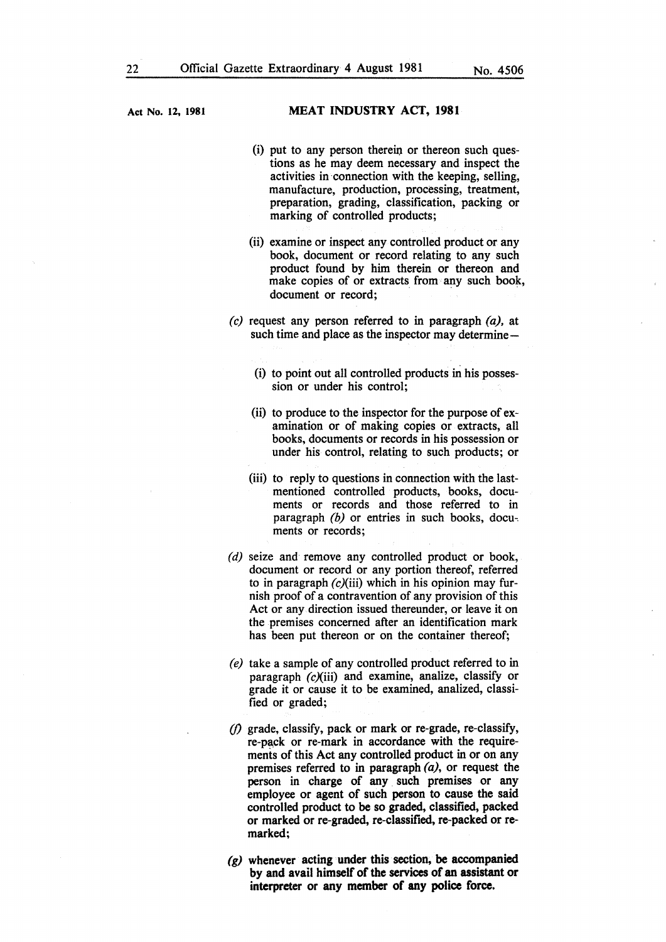- $(i)$  put to any person therein or thereon such questions as he may deem necessary and inspect the activities in connection with the keeping, selling, manufacture, production, processing, treatment, preparation, grading, classification, packing or marking of controlled products;
- (ii) examine or inspect any controlled product or any book, document or record relating to any such product found by him therein or thereon and make copies of or extracts from any such book, document or record;
- *(c)* request any person referred to in paragraph (a), at such time and place as the inspector may determine-
	- (i) to point out all controlled products in his possession or under his control;
	- (ii) to produce to the inspector for the purpose of examination or of making copies or extracts, all books, documents or records in his possession or under his control, relating to such products; or
	- (iii) to reply to questions in connection with the lastmentioned controlled products, books, documents or records and those referred to in paragraph *(b)* or entries in such books, docu-. ments or records;
- *(d)* seize and remove any controlled product or book, document or record or any portion thereof, referred to in paragraph  $(c)(iii)$  which in his opinion may furnish proof of a contravention of any provision of this Act or any direction issued thereunder, or leave it on the premises concerned after an identification mark has been put thereon or on the container thereof;
- *(e)* take a sample of any controlled product referred to in paragraph  $(c)(iii)$  and examine, analize, classify or grade it or cause it to be examined, analized, classified or graded;
- *(/)* grade, classify, pack or mark or re-grade, re-classify, re-pack or re-mark in accordance with the requirements of this Act any controlled product in or on any premises referred to in paragraph  $(a)$ , or request the person in charge of any such premises or any employee or agent of such person to cause the said controlled product to be so graded, classified, packed or marked or re-graded, re-classified, re-packed or remarked;
- *(g)* whenever acting under this section, be accompanied by and avail himself of the services of an assistant or interpreter or any member of any police force.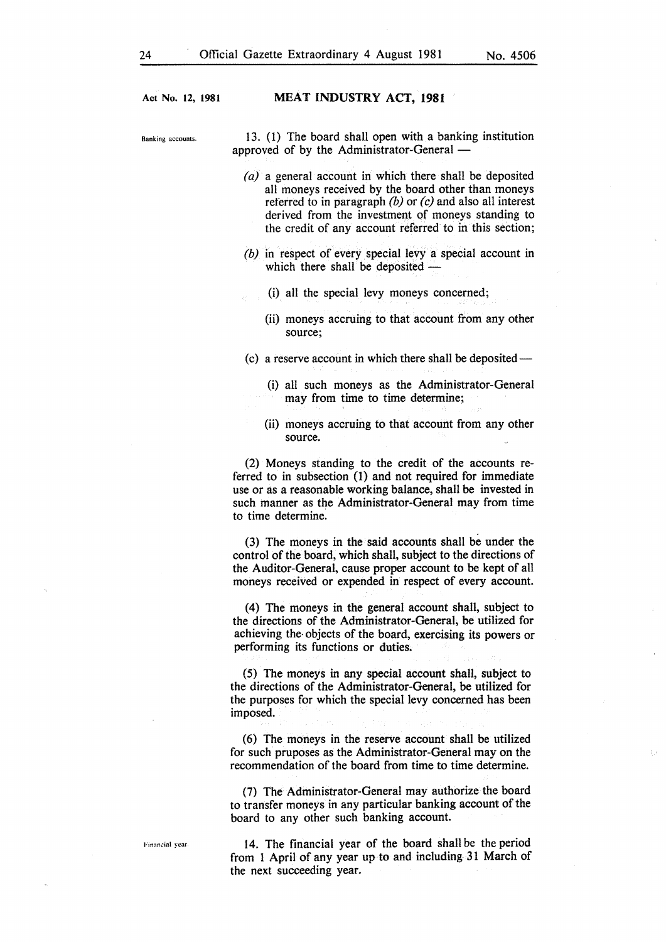Banking accounts. 13. (1) The board shall open with a banking institution approved of by the Administrator-General -

- *(a)* a general account in which there shall be deposited all moneys received by the board other than moneys referred to in paragraph *(b)* or *(c)* and also all interest derived from the investment of moneys standing to the credit of any account referred to in this section;
- *(b)* in respect of every special levy a special account in which there shall be deposited  $-$ 
	- (i) all the special levy moneys concerned;
		- (ii) moneys accruing to that account from any other source;
- (c) a reserve account in which there shall be deposited-

(i) all such moneys as the Administrator-General may from time to time determine;

(ii) moneys accruing to that account from any other source.

(2) Moneys standing to the credit of the accounts referred to in subsection (1) and not required for immediate use or as a reasonable working balance, shall be invested in such manner as the Administrator-General may from time to time determine:

(3) The moneys in the said accounts shall be under the control of the board, which shall, subject to the directions of the Auditor-General, cause proper account to be kept of all moneys received or expended in respect of every account.

(4) The moneys in the general account shall, subject to the directions of the Administrator-General, be utilized for achieving the· objects of the board, exercising its powers or performing its functions or duties.

(5) The moneys in any special account shall, subject to the directions of the Administrator-General, be utilized for the purposes for which the special levy concerned has been imposed.

(6) The moneys in the reserve account shall be utilized for such pruposes as the Administrator-General may on the recommendation of the board from time to time determine.

(7) The Administrator-General may authorize the board to transfer moneys in any particular banking account of the board to any other such banking account.

Financial year

14. The financial year of the board shall be the period from I April of any year up to and including 31 March of the next succeeding year.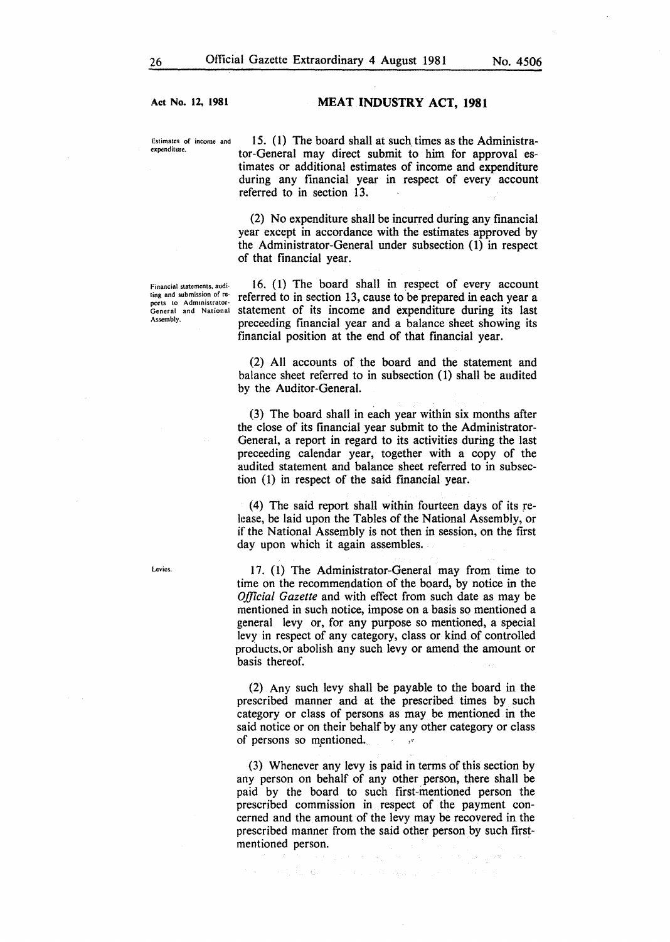#### MEAT INDUSTRY ACT, 1981

Estimates of income and expenditure.

15. (l) The board shall at such\_ times as the Administrator-General may direct submit to him for approval estimates or additional estimates of income and expenditure during any financial year in respect of every account referred to in section 13.

(2) No expenditure shall be incurred during any financial year except in accordance with the estimates approved by the Administrator-General under subsection (1) in respect of that financial year.

Financial statements, auditing and submission of reports to Administrator-General and National Assembly.

Levies.

16. (1) The board shall in respect of every account referred to in section 13, cause to be prepared in each year a statement of its income and expenditure during its last preceeding financial year and a balance sheet showing its financial position at the end of that fmancial year.

(2) All accounts of the board and the statement and balance sheet referred to in subsection (1) shall be audited by the Auditor-General.

(3) The board shall in each year within six months after the close of its financial year submit to the Administrator-General, a report in regard to its activities during the last preceeding calendar year, together with a copy of the audited statement and balance sheet referred to in subsection (1) in respect of the said fmancial year.

(4) The said report shall within fourteen days of its release, be laid upon the Tables of the National Assembly, or if the National Assembly is not then in session, on the first day upon which it again assembles.

17. ( 1) The Administrator-General may from time to time on the recommendation of the board, by notice in the *Official Gazette* and with effect from such date as may be mentioned in such notice, impose on a basis so mentioned a general levy or, for any purpose so mentioned, a special levy in respect of any category, class or kind of controlled products,or abolish any such levy or amend the amount or basis thereof.

(2) Any such levy shall be payable to the board in the prescribed manner and at the prescribed times by such category or class of persons as may be mentioned in the said notice or on their behalf by any other category or class of persons so mentioned.

(3) Whenever any levy is paid in terms of this section by any person on behalf of any other person, there shall be paid by the board to such first-mentioned person the prescribed commission in respect of the payment concerned and the amount of the levy may be recovered in the prescribed manner from the said other person by such firstmentioned person.

and for a series of the companion of the

 $\mathcal{F}(\mathcal{F}_{\mathcal{G}}) = \mathcal{P}(\mathcal{F}_{\mathcal{G}}) \mathcal{P}(\mathcal{F}_{\mathcal{G}}^{\mathcal{G}}) = \mathcal{F}(\mathcal{G}).$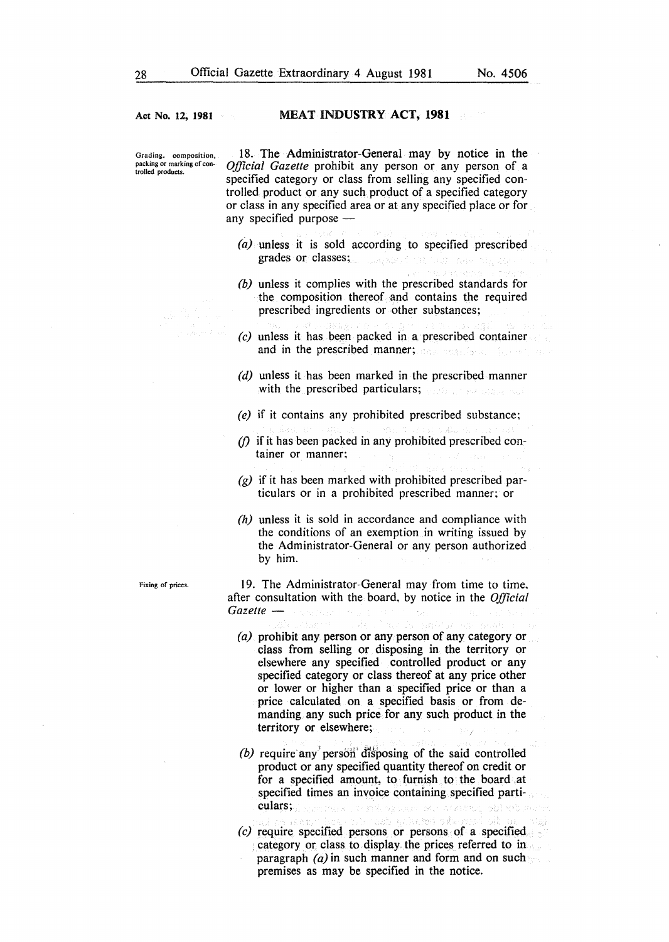#### MEAT INDUSTRY **ACT, 1981**

Grading, composition, packing or marking of controlled products.

18. The Administrator-General may by notice in the *Official Gazette* prohibit any person or any person of a specified category or class from selling any specified controlled product or any such product of a specified category or class in any specified area or at any specified place or for any specified purpose  $-$ 

- *(a)* unless it is sold according to specified prescribed grades or classes;
- *(b)* unless it complies with the prescribed standards for the composition thereof and contains the required prescribed ingredients or other substances;
- *(c)* unless it has been packed in a prescribed container and in the prescribed manner;
- *(d)* unless it has been marked in the prescribed manner with the prescribed particulars;
- *(e)* if it contains any prohibited prescribed substance;
- *{})* if it has been packed in any prohibited prescribed container or manner;
- *(g)* if it has been marked with prohibited prescribed particulars or in a prohibited prescribed manner: or
- *(h)* unless it is sold in accordance and compliance with the conditions of an exemption in writing issued by the Administrator-General or any person authorized by him.

**Fixing of prices.** 

19. The Administrator-General may from time to time. after consultation with the board, by notice in the *Official Gazette-*

- *(a)* prohibit any person or any person of any category or class from selling or disposing in the territory or elsewhere any specified controlled product or any specified category or class thereof at any price other or lower or higher than a specified price or than a price calculated on a specified basis or from demanding any such price for any such product in the territory or elsewhere;
- $(b)$  require any person disposing of the said controlled product or any specified quantity thereof on credit or for a specified amount, to furnish to the board . at specified times an invoice containing specified particulars;
- *(c)* require specified persons or persons of a specified category or class to display. the prices referred to in paragraph  $\left(\frac{a}{a}\right)$  in such manner and form and on such premises as may be specified in the notice.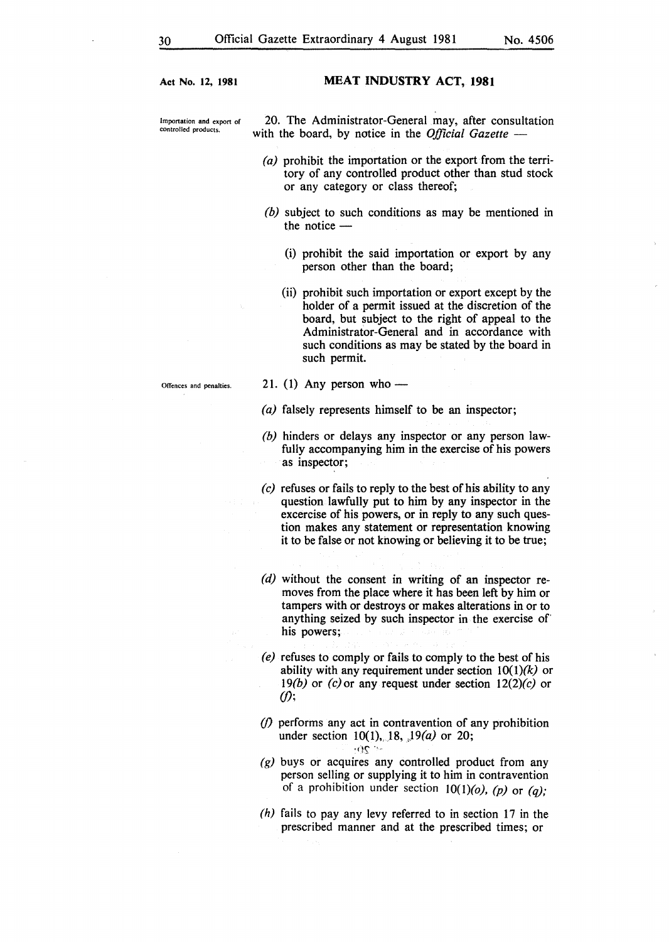#### MEAT INDUSTRY ACT, **1981**

Importation and export of controlled products.

20. The Administrator-General may, after consultation with the board, by notice in the *Official Gazette* —

- (a) prohibit the importation or the export from the territory of any controlled product other than stud stock or any category or class thereof;
- *(b)* subject to such conditions as may be mentioned in the notice-
	- (i) prohibit the said importation or export by any person other than the board;
	- (ii) prohibit such importation or export except by the holder of a permit issued at the discretion of the board, but subject to the right of appeal to the Administrator-General and in accordance with such conditions as may be stated by the board in such permit.
- 21. (1) Any person who —
- (a) falsely represents himself to be an inspector;
- *(b)* hinders or delays any inspector or any person lawfully accompanying him in the exercise of his powers as inspector;
- *(c)* refuses or fails to reply to the best of his ability to any question lawfully put to him by any inspector in the excercise of his powers, or in reply to any such question makes any statement or representation knowing it to be false or not knowing or believing it to be true;
- *(d)* without the consent in writing of an inspector removes from the place where it has been left by him or tampers with or destroys or makes alterations in or to anything seized by such inspector in the exercise of his powers;
- *(e)* refuses to comply or fails to comply to the best of his ability with any requirement under section  $10(1)(k)$  or *l9(b)* or *(c)or* any request under section *l2(2)(c)* or *(/);*
- *(/)* performs any act in contravention of any prohibition under section 10(1), 18, 19(*a*) or 20;  $\cdot$   $\alpha$
- $(g)$  buys or acquires any controlled product from any person selling or supplying it to him in contravention of a prohibition under section  $10(1)(o)$ ,  $(p)$  or  $(q)$ ;
- *(h)* fails to pay any levy referred to in section 17 in the prescribed manner and at the prescribed times; or

Offences and penalties.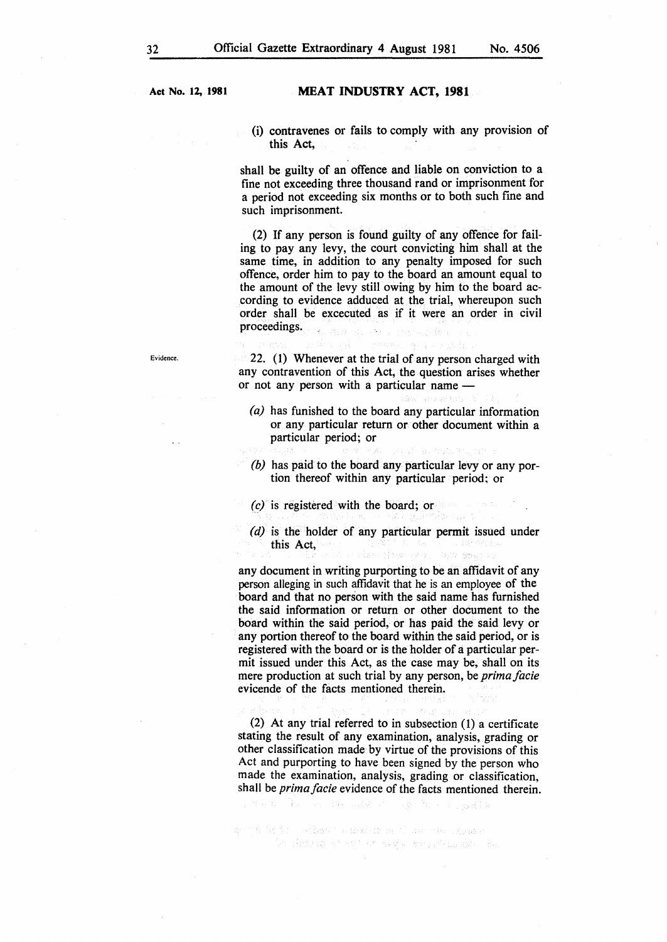#### MEAT INDUSTRY ACT, 1981

(i) contravenes or fails to comply with any provision of this Act,

shall be guilty of an offence and liable on conviction to a fine not exceeding three thousand rand or imprisonment for a period not exceeding six months or to both such fine and such imprisonment.

(2) If any person is found guilty of any offence for failing to pay any levy, the court convicting him shall at the same time, in addition to any penalty imposed for such offence, order him to pay to the board an amount equal to the amount of the levy still owing by him to the board according to evidence adduced at the trial, whereupon such order shall be excecuted as if it were an order in civil proceedings. in L

Evidence.

22. (1) Whenever at the trial of any person charged with any contravention of this Act, the question arises whether or not any person with a particular name -

- *(a)* has funished to the board any particular information or any particular return or other document within a particular period; or
- *(b)* has paid to the board any particular levy or any portion thereof within any particular period; or
- *(c)* is registered with the board; or
- *(d)* is the holder of any particular permit issued under this Act,

Hew RET RANGEMENT

any document in writing purporting to be an affidavit of any person alleging in such affidavit that he is an employee of the board and that no person with the said name has furnished the said information or return or other document to the board within the said period, or has paid the said levy or any portion thereof to the board within the said period, or is registered with the board or is the holder of a particular permit issued under this Act, as the case may be, shall on its mere production at such trial by any person, be *prima facie*  evicende of the facts mentioned therein.

(2) At any trial referred to in subsection (1) a certificate stating the result of any examination, analysis, grading or other classification made by virtue of the provisions of this Act and purporting to have been signed by the person who made the examination, analysis, grading or classification, shall be *prima facie* evidence of the facts mentioned therein.

i mbso i razbarni (incin stratus) a dinastra e saj ar segu sang datuma sa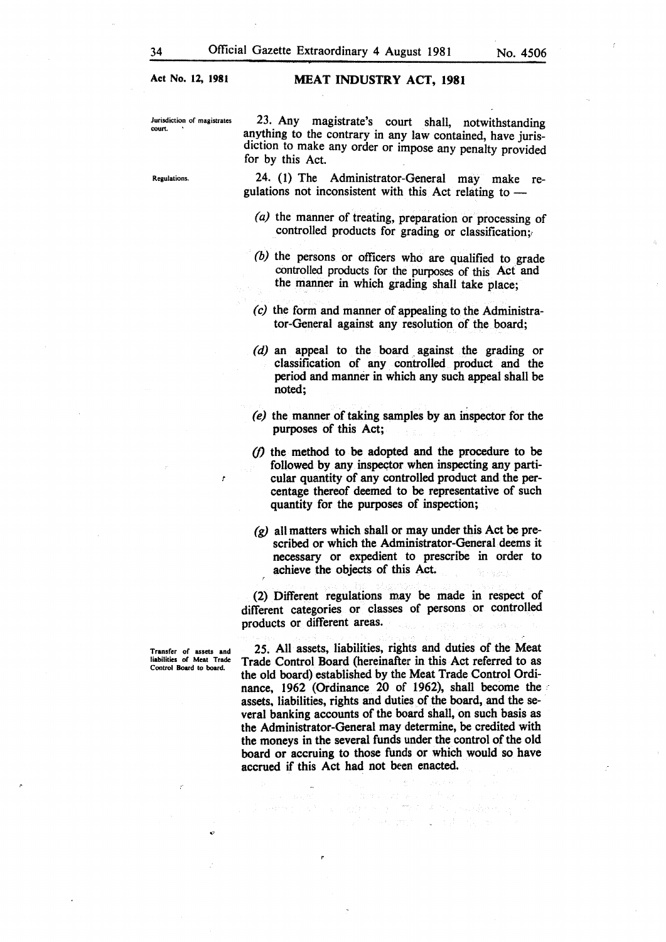Jurisdiction of magistrates court.

Regulations.

23. Any magistrate's court shall, notwithstanding anything to the contrary in any law contained, have jurisdiction to make any order or impose any penalty provided for by this Act.

24. (1) The Administrator-General may make regulations not inconsistent with this Act relating to  $-$ 

- *(a)* the manner of treating, preparation or processing of controlled products for grading or classification;
- *(b)* the persons or officers who are qualified to grade controlled products for the purposes of this Act and the manner in which grading shall take place;
- *(c)* the form and manner of appealing to the Administrator-General against any resolution of the board;
- (d) an appeal to the board against the grading or classification of any controlled product and the period and manner in which any such appeal shall be noted;
- *(e)* the manner of taking samples by an inspector for the purposes of this Act;
- $(1)$  the method to be adopted and the procedure to be followed by any inspector when inspecting any particular quantity of any controlled product and the percentage thereof deemed to be representative of such quantity for the purposes of inspection;
- *(g)* all matters which shall or may under this Act be prescribed or which the Administrator-General deems it necessary or expedient to prescribe in order to achieve the objects of this Act.

(2) Different regulations may be made in respect of different categories or classes of persons or controlled products or different areas.

Transfer of assets and liabilities of Meat Trade Control Board to board.

'7

25. All assets, liabilities, rights and duties of the Meat Trade Control Board (hereinafter in this Act referred to as the old board) established by the Meat Trade Control Ordinance, 1962 (Ordinance 20 of 1962), shall become the assets, liabilities, rights and duties of the board, and the several banking accounts of the board shall, on such basis as the Administrator-General may determine, be credited with the moneys in the several funds under the control of the old board or accruing to those funds or which would so have accrued if this Act had not been enacted.

> agreement to the Control and Service The Company of State